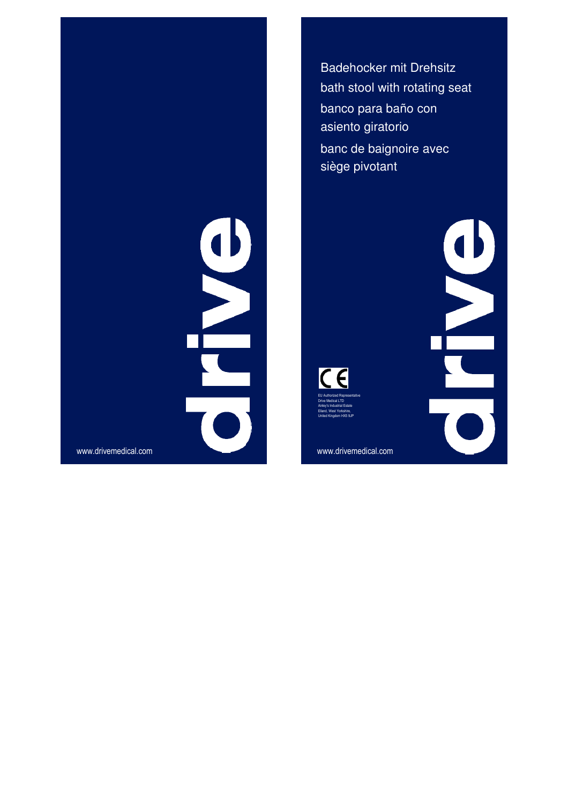Badehocker mit Drehsitz bath stool with rotating seat banco para baño con asiento giratorio banc de baignoire avec siège pivotant

 $\overline{C}$ EU Authorized Representative Drive Medical LTD Ainley's Industrial Estate

Elland, West Yorkshire, United Kingdom HX5 9JP

**PARTS** 

WW.drivemedical.com<br>
Www.drivemedical.com<br>
Www.drivemedical.com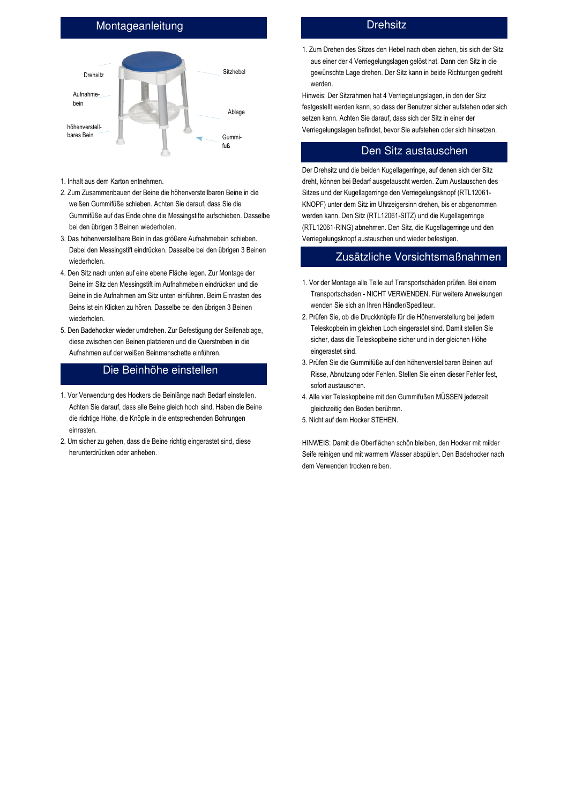## Montageanleitung



- 1. Inhalt aus dem Karton entnehmen.
- 2. Zum Zusammenbauen der Beine die höhenverstellbaren Beine in die weißen Gummifüße schieben. Achten Sie darauf, dass Sie die Gummifüße auf das Ende ohne die Messingstifte aufschieben. Dasselbe bei den übrigen 3 Beinen wiederholen.
- 3. Das höhenverstellbare Bein in das größere Aufnahmebein schieben. Dabei den Messingstift eindrücken. Dasselbe bei den übrigen 3 Beinen wiederholen.
- 4. Den Sitz nach unten auf eine ebene Fläche legen. Zur Montage der Beine im Sitz den Messingstift im Aufnahmebein eindrücken und die Beine in die Aufnahmen am Sitz unten einführen. Beim Einrasten des Beins ist ein Klicken zu hören. Dasselbe bei den übrigen 3 Beinen wiederholen.
- 5. Den Badehocker wieder umdrehen. Zur Befestigung der Seifenablage, diese zwischen den Beinen platzieren und die Querstreben in die Aufnahmen auf der weißen Beinmanschette einführen.

## Die Beinhöhe einstellen

- 1. Vor Verwendung des Hockers die Beinlänge nach Bedarf einstellen. Achten Sie darauf, dass alle Beine gleich hoch sind. Haben die Beine die richtige Höhe, die Knöpfe in die entsprechenden Bohrungen einrasten.
- 2. Um sicher zu gehen, dass die Beine richtig eingerastet sind, diese herunterdrücken oder anheben.

#### **Drehsitz**

1. Zum Drehen des Sitzes den Hebel nach oben ziehen, bis sich der Sitz aus einer der 4 Verriegelungslagen gelöst hat. Dann den Sitz in die gewünschte Lage drehen. Der Sitz kann in beide Richtungen gedreht werden.

Hinweis: Der Sitzrahmen hat 4 Verriegelungslagen, in den der Sitz festgestellt werden kann, so dass der Benutzer sicher aufstehen oder sich setzen kann. Achten Sie darauf, dass sich der Sitz in einer der Verriegelungslagen befindet, bevor Sie aufstehen oder sich hinsetzen.

### Den Sitz austauschen

Der Drehsitz und die beiden Kugellagerringe, auf denen sich der Sitz dreht, können bei Bedarf ausgetauscht werden. Zum Austauschen des Sitzes und der Kugellagerringe den Verriegelungsknopf (RTL12061- KNOPF) unter dem Sitz im Uhrzeigersinn drehen, bis er abgenommen werden kann. Den Sitz (RTL12061-SITZ) und die Kugellagerringe (RTL12061-RING) abnehmen. Den Sitz, die Kugellagerringe und den Verriegelungsknopf austauschen und wieder befestigen.

#### Zusätzliche Vorsichtsmaßnahmen

- 1. Vor der Montage alle Teile auf Transportschäden prüfen. Bei einem Transportschaden - NICHT VERWENDEN. Für weitere Anweisungen wenden Sie sich an Ihren Händler/Spediteur.
- 2. Prüfen Sie, ob die Druckknöpfe für die Höhenverstellung bei jedem Teleskopbein im gleichen Loch eingerastet sind. Damit stellen Sie sicher, dass die Teleskopbeine sicher und in der gleichen Höhe eingerastet sind.
- 3. Prüfen Sie die Gummifüße auf den höhenverstellbaren Beinen auf Risse, Abnutzung oder Fehlen. Stellen Sie einen dieser Fehler fest, sofort austauschen.
- 4. Alle vier Teleskopbeine mit den Gummifüßen MUSSEN jederzeit gleichzeitig den Boden berühren.
- 5. Nicht auf dem Hocker STEHEN.

HINWEIS: Damit die Oberflächen schön bleiben, den Hocker mit milder Seife reinigen und mit warmem Wasser abspülen. Den Badehocker nach dem Verwenden trocken reiben.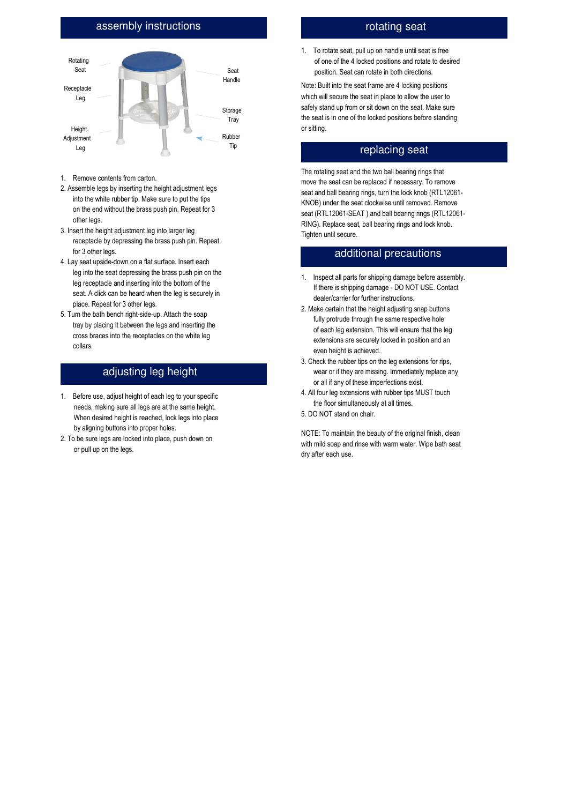## assembly instructions



- 1. Remove contents from carton.
- 2. Assemble legs by inserting the height adjustment legs into the white rubber tip. Make sure to put the tips on the end without the brass push pin. Repeat for 3 other legs.
- 3. Insert the height adjustment leg into larger leg receptacle by depressing the brass push pin. Repeat for 3 other legs.
- 4. Lay seat upside-down on a flat surface. Insert each leg into the seat depressing the brass push pin on the leg receptacle and inserting into the bottom of the seat. A click can be heard when the leg is securely in place. Repeat for 3 other legs.
- 5. Turn the bath bench right-side-up. Attach the soap tray by placing it between the legs and inserting the cross braces into the receptacles on the white leg collars.

## adjusting leg height

- 1. Before use, adjust height of each leg to your specific needs, making sure all legs are at the same height. When desired height is reached, lock legs into place by aligning buttons into proper holes.
- 2. To be sure legs are locked into place, push down on or pull up on the legs.

## rotating seat

1. To rotate seat, pull up on handle until seat is free of one of the 4 locked positions and rotate to desired position. Seat can rotate in both directions.

Note: Built into the seat frame are 4 locking positions which will secure the seat in place to allow the user to safely stand up from or sit down on the seat. Make sure the seat is in one of the locked positions before standing or sitting.

#### replacing seat

The rotating seat and the two ball bearing rings that move the seat can be replaced if necessary. To remove seat and ball bearing rings, turn the lock knob (RTL12061- KNOB) under the seat clockwise until removed. Remove seat (RTL12061-SEAT ) and ball bearing rings (RTL12061- RING). Replace seat, ball bearing rings and lock knob. Tighten until secure.

#### additional precautions

- 1. Inspect all parts for shipping damage before assembly. If there is shipping damage - DO NOT USE. Contact dealer/carrier for further instructions.
- 2. Make certain that the height adjusting snap buttons fully protrude through the same respective hole of each leg extension. This will ensure that the leg extensions are securely locked in position and an even height is achieved.
- 3. Check the rubber tips on the leg extensions for rips, wear or if they are missing. Immediately replace any or all if any of these imperfections exist.
- 4. All four leg extensions with rubber tips MUST touch the floor simultaneously at all times.
- 5. DO NOT stand on chair.

NOTE: To maintain the beauty of the original finish, clean with mild soap and rinse with warm water. Wipe bath seat dry after each use.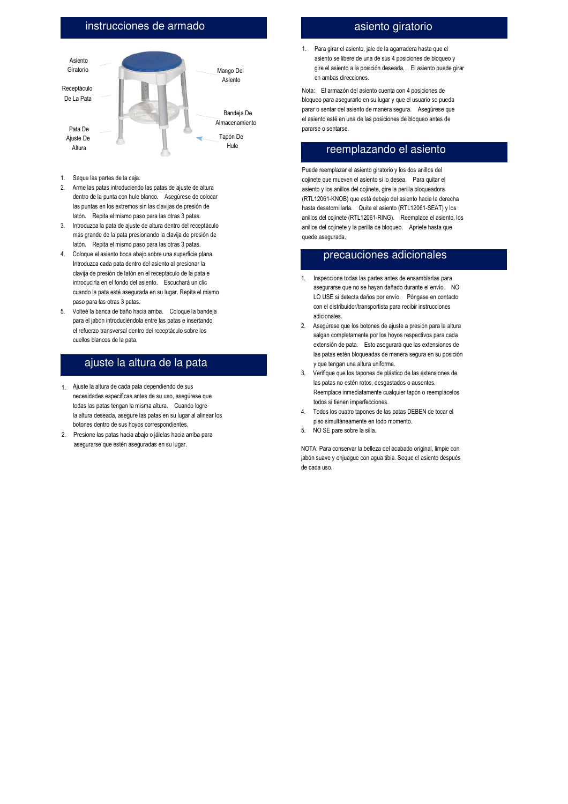## instrucciones de armado



- 1. Saque las partes de la caja.
- 2. Arme las patas introduciendo las patas de ajuste de altura dentro de la punta con hule blanco. Asegúrese de colocar las puntas en los extremos sin las clavijas de presión de latón. Repita el mismo paso para las otras 3 patas.
- 3. Introduzca la pata de ajuste de altura dentro del receptáculo más grande de la pata presionando la clavija de presión de latón. Repita el mismo paso para las otras 3 patas.
- 4. Coloque el asiento boca abajo sobre una superficie plana. Introduzca cada pata dentro del asiento al presionar la clavija de presión de latón en el receptáculo de la pata e introducirla en el fondo del asiento. Escuchará un clic cuando la pata esté asegurada en su lugar. Repita el mismo paso para las otras 3 patas.
- 5. Volteé la banca de baño hacia arriba. Coloque la bandeja para el jabón introduciéndola entre las patas e insertando el refuerzo transversal dentro del receptáculo sobre los cuellos blancos de la pata.

## ajuste la altura de la pata

- 1. Ajuste la altura de cada pata dependiendo de sus necesidades especificas antes de su uso, asegúrese que todas las patas tengan la misma altura. Cuando logre la altura deseada, asegure las patas en su lugar al alinear los botones dentro de sus hoyos correspondientes.
- 2. Presione las patas hacia abajo o jálelas hacia arriba para asegurarse que estén aseguradas en su lugar.

#### asiento giratorio

1. Para girar el asiento, jale de la agarradera hasta que el asiento se libere de una de sus 4 posiciones de bloqueo y gire el asiento a la posición deseada. El asiento puede girar en ambas direcciones.

Nota: El armazón del asiento cuenta con 4 posiciones de bloqueo para asegurarlo en su lugar y que el usuario se pueda parar o sentar del asiento de manera segura. Asegúrese que el asiento esté en una de las posiciones de bloqueo antes de pararse o sentarse.

#### reemplazando el asiento

Puede reemplazar el asiento giratorio y los dos anillos del cojinete que mueven el asiento si lo desea. Para quitar el asiento y los anillos del cojinete, gire la perilla bloqueadora (RTL12061-KNOB) que está debajo del asiento hacia la derecha hasta desatornillarla. Quite el asiento (RTL12061-SEAT) y los anillos del cojinete (RTL12061-RING). Reemplace el asiento, los anillos del cojinete y la perilla de bloqueo. Apriete hasta que quede asegurada.

#### precauciones adicionales

- 1. Inspeccione todas las partes antes de ensamblarlas para asegurarse que no se hayan dañado durante el envío. NO LO USE si detecta daños por envío. Póngase en contacto con el distribuidor/transportista para recibir instrucciones adicionales.
- 2. Asegúrese que los botones de ajuste a presión para la altura salgan completamente por los hoyos respectivos para cada extensión de pata. Esto asegurará que las extensiones de las patas estén bloqueadas de manera segura en su posición y que tengan una altura uniforme.
- 3. Verifique que los tapones de plástico de las extensiones de las patas no estén rotos, desgastados o ausentes. Reemplace inmediatamente cualquier tapón o reemplácelos todos si tienen imperfecciones.
- 4. Todos los cuatro tapones de las patas DEBEN de tocar el piso simultáneamente en todo momento.
- 5. NO SE pare sobre la silla.

NOTA: Para conservar la belleza del acabado original, limpie con jabón suave y enjuague con agua tibia. Seque el asiento después de cada uso.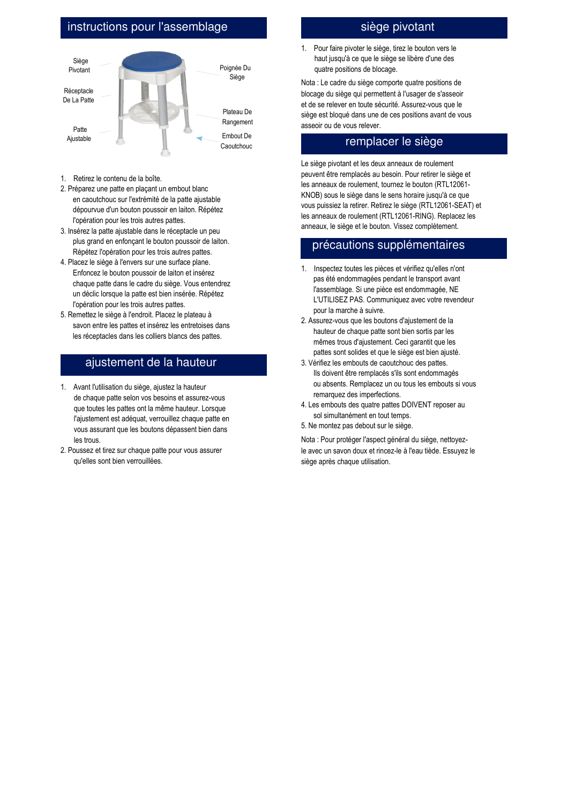# instructions pour l'assemblage



- 1. Retirez le contenu de la boîte.
- 2. Préparez une patte en plaçant un embout blanc en caoutchouc sur l'extrémité de la patte ajustable dépourvue d'un bouton poussoir en laiton. Répétez l'opération pour les trois autres pattes.
- 3. Insérez la patte ajustable dans le réceptacle un peu plus grand en enfonçant le bouton poussoir de laiton. Répétez l'opération pour les trois autres pattes.
- 4. Placez le siège à l'envers sur une surface plane. Enfoncez le bouton poussoir de laiton et insérez chaque patte dans le cadre du siège. Vous entendrez un déclic lorsque la patte est bien insérée. Répétez l'opération pour les trois autres pattes.
- 5. Remettez le siège à l'endroit. Placez le plateau à savon entre les pattes et insérez les entretoises dans les réceptacles dans les colliers blancs des pattes.

## ajustement de la hauteur

- 1. Avant l'utilisation du siège, ajustez la hauteur de chaque patte selon vos besoins et assurez-vous que toutes les pattes ont la même hauteur. Lorsque l'ajustement est adéquat, verrouillez chaque patte en vous assurant que les boutons dépassent bien dans les trous.
- 2. Poussez et tirez sur chaque patte pour vous assurer qu'elles sont bien verrouillées.

## siège pivotant

1. Pour faire pivoter le siège, tirez le bouton vers le haut jusqu'à ce que le siège se libère d'une des quatre positions de blocage.

Nota : Le cadre du siège comporte quatre positions de blocage du siège qui permettent à l'usager de s'asseoir et de se relever en toute sécurité. Assurez-vous que le siège est bloqué dans une de ces positions avant de vous asseoir ou de vous relever.

### remplacer le siège

Le siège pivotant et les deux anneaux de roulement peuvent être remplacés au besoin. Pour retirer le siège et les anneaux de roulement, tournez le bouton (RTL12061- KNOB) sous le siège dans le sens horaire jusqu'à ce que vous puissiez la retirer. Retirez le siège (RTL12061-SEAT) et les anneaux de roulement (RTL12061-RING). Replacez les anneaux, le siège et le bouton. Vissez complètement.

## précautions supplémentaires

- 1. Inspectez toutes les pièces et vérifiez qu'elles n'ont pas été endommagées pendant le transport avant l'assemblage. Si une pièce est endommagée, NE L'UTILISEZ PAS. Communiquez avec votre revendeur pour la marche à suivre.
- 2. Assurez-vous que les boutons d'ajustement de la hauteur de chaque patte sont bien sortis par les mêmes trous d'ajustement. Ceci garantit que les pattes sont solides et que le siège est bien ajusté.
- 3. Vérifiez les embouts de caoutchouc des pattes. Ils doivent être remplacés s'ils sont endommagés ou absents. Remplacez un ou tous les embouts si vous remarquez des imperfections.
- 4. Les embouts des quatre pattes DOIVENT reposer au sol simultanément en tout temps.
- 5. Ne montez pas debout sur le siège.

Nota : Pour protéger l'aspect général du siège, nettoyezle avec un savon doux et rincez-le à l'eau tiède. Essuyez le siège après chaque utilisation.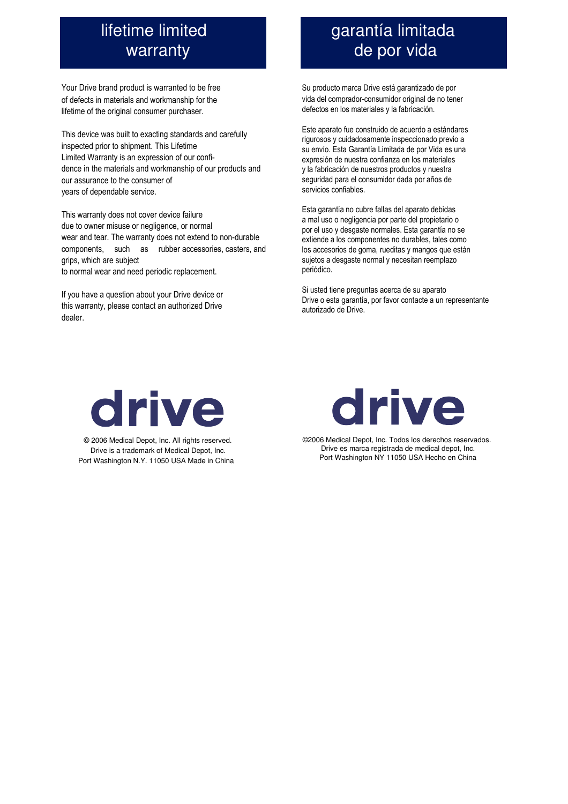# lifetime limited warranty

Your Drive brand product is warranted to be free of defects in materials and workmanship for the lifetime of the original consumer purchaser.

This device was built to exacting standards and carefully inspected prior to shipment. This Lifetime Limited Warranty is an expression of our confidence in the materials and workmanship of our products and our assurance to the consumer of years of dependable service.

This warranty does not cover device failure due to owner misuse or negligence, or normal wear and tear. The warranty does not extend to non-durable components, such as rubber accessories, casters, and grips, which are subject to normal wear and need periodic replacement.

If you have a question about your Drive device or this warranty, please contact an authorized Drive dealer.

# garantía limitada de por vida

Su producto marca Drive está garantizado de por vida del comprador-consumidor original de no tener defectos en los materiales y la fabricación.

Este aparato fue construido de acuerdo a estándares rigurosos y cuidadosamente inspeccionado previo a su envío. Esta Garantía Limitada de por Vida es una expresión de nuestra confianza en los materiales y la fabricación de nuestros productos y nuestra seguridad para el consumidor dada por años de servicios confiables.

Esta garantía no cubre fallas del aparato debidas a mal uso o negligencia por parte del propietario o por el uso y desgaste normales. Esta garantía no se extiende a los componentes no durables, tales como los accesorios de goma, rueditas y mangos que están sujetos a desgaste normal y necesitan reemplazo periódico.

Si usted tiene preguntas acerca de su aparato Drive o esta garantía, por favor contacte a un representante autorizado de Drive.



© 2006 Medical Depot, Inc. All rights reserved. Drive is a trademark of Medical Depot, Inc. Port Washington N.Y. 11050 USA Made in China



©2006 Medical Depot, Inc. Todos los derechos reservados. Drive es marca registrada de medical depot, Inc. Port Washington NY 11050 USA Hecho en China